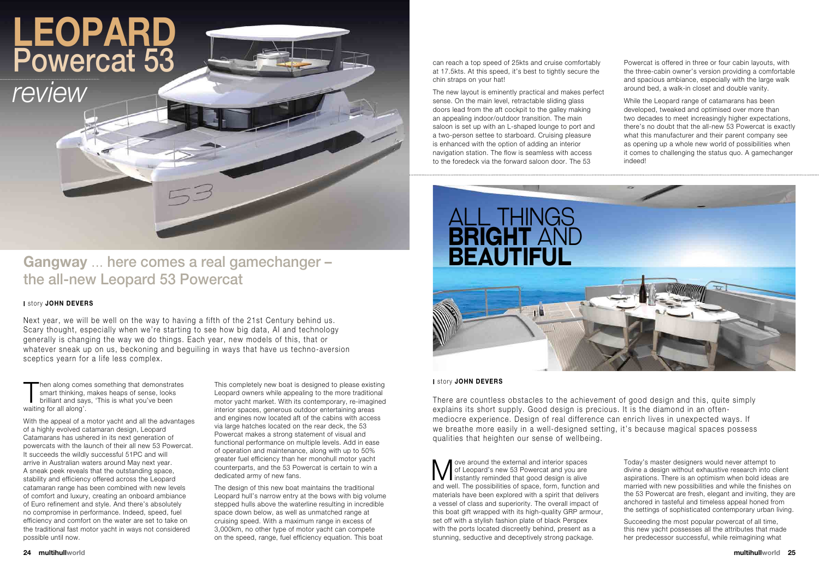Then along comes something that demonstra<br>
smart thinking, makes heaps of sense, looks<br>
brilliant and says, 'This is what you've been<br>
waiting for all along' hen along comes something that demonstrates smart thinking, makes heaps of sense, looks waiting for all along'.

With the appeal of a motor yacht and all the advantages of a highly evolved catamaran design, Leopard Catamarans has ushered in its next generation of powercats with the launch of their all new 53 Powercat. It succeeds the wildly successful 51PC and will arrive in Australian waters around May next year. A sneak peek reveals that the outstanding space, stability and efficiency offered across the Leopard catamaran range has been combined with new levels of comfort and luxury, creating an onboard ambiance of Euro refinement and style. And there's absolutely no compromise in performance. Indeed, speed, fuel efficiency and comfort on the water are set to take on the traditional fast motor yacht in ways not considered possible until now.

This completely new boat is designed to please existing Leopard owners while appealing to the more traditional motor yacht market. With its contemporary, re-imagined interior spaces, generous outdoor entertaining areas and engines now located aft of the cabins with access via large hatches located on the rear deck, the 53 Powercat makes a strong statement of visual and functional performance on multiple levels. Add in ease of operation and maintenance, along with up to 50% greater fuel efficiency than her monohull motor yacht counterparts, and the 53 Powercat is certain to win a dedicated army of new fans.

The design of this new boat maintains the traditional Leopard hull's narrow entry at the bows with big volume stepped hulls above the waterline resulting in incredible space down below, as well as unmatched range at cruising speed. With a maximum range in excess of 3,000km, no other type of motor yacht can compete on the speed, range, fuel efficiency equation. This boat

can reach a top speed of 25kts and cruise comfortably at 17.5kts. At this speed, it's best to tightly secure the chin straps on your hat!

W ove around the external and interior spaces<br>of Leopard's new 53 Powercat and you are<br>instantly reminded that good design is alive<br>and well. The possibilities of appear form function ove around the external and interior spaces of Leopard's new 53 Powercat and you are and well. The possibilities of space, form, function and materials have been explored with a spirit that delivers a vessel of class and superiority. The overall impact of this boat gift wrapped with its high-quality GRP armour, set off with a stylish fashion plate of black Perspex with the ports located discreetly behind, present as a stunning, seductive and deceptively strong package.

The new layout is eminently practical and makes perfect sense. On the main level, retractable sliding glass doors lead from the aft cockpit to the galley making an appealing indoor/outdoor transition. The main saloon is set up with an L-shaped lounge to port and a two-person settee to starboard. Cruising pleasure is enhanced with the option of adding an interior navigation station. The flow is seamless with access to the foredeck via the forward saloon door. The 53

# **Leopard** Powercat 53

## **Gangway** ... here comes a real gamechanger – the all-new Leopard 53 Powercat

Next year, we will be well on the way to having a fifth of the 21st Century behind us. Scary thought, especially when we're starting to see how big data, AI and technology generally is changing the way we do things. Each year, new models of this, that or whatever sneak up on us, beckoning and beguiling in ways that have us techno-aversion sceptics yearn for a life less complex.



Powercat is offered in three or four cabin layouts, with the three-cabin owner's version providing a comfortable and spacious ambiance, especially with the large walk around bed, a walk-in closet and double vanity.

While the Leopard range of catamarans has been developed, tweaked and optimised over more than two decades to meet increasingly higher expectations, there's no doubt that the all-new 53 Powercat is exactly what this manufacturer and their parent company see as opening up a whole new world of possibilities when it comes to challenging the status quo. A gamechanger indeed!

Today's master designers would never attempt to divine a design without exhaustive research into client aspirations. There is an optimism when bold ideas are married with new possibilities and while the finishes on the 53 Powercat are fresh, elegant and inviting, they are anchored in tasteful and timeless appeal honed from the settings of sophisticated contemporary urban living.

Succeeding the most popular powercat of all time, this new yacht possesses all the attributes that made her predecessor successful, while reimagining what

#### **I** story **john devers**

#### **I** story **john devers**

There are countless obstacles to the achievement of good design and this, quite simply explains its short supply. Good design is precious. It is the diamond in an oftenmediocre experience. Design of real difference can enrich lives in unexpected ways. If we breathe more easily in a well-designed setting, it's because magical spaces possess qualities that heighten our sense of wellbeing.

*review*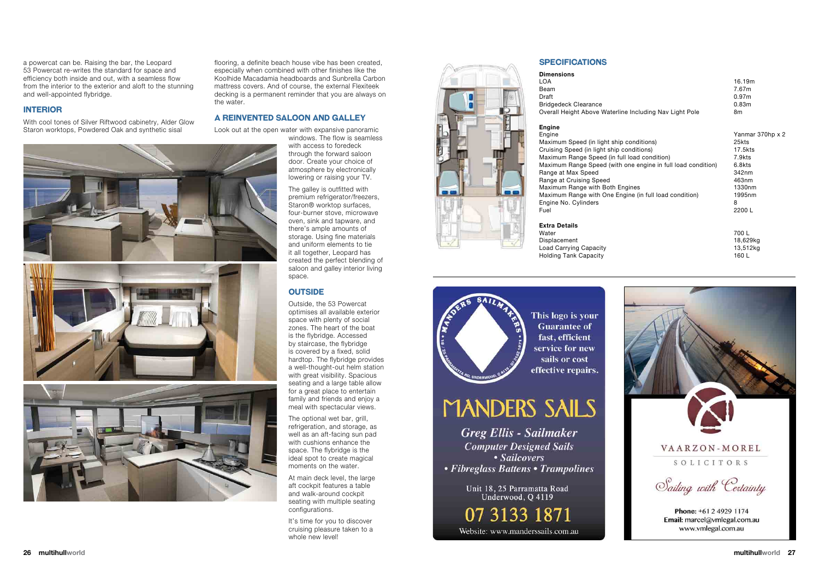a powercat can be. Raising the bar, the Leopard 53 Powercat re-writes the standard for space and efficiency both inside and out, with a seamless flow from the interior to the exterior and aloft to the stunning and well-appointed flybridge.

#### **InterIor**

With cool tones of Silver Riftwood cabinetry, Alder Glow Staron worktops, Powdered Oak and synthetic sisal

flooring, a definite beach house vibe has been created, especially when combined with other finishes like the Koolhide Macadamia headboards and Sunbrella Carbon mattress covers. And of course, the external Flexiteek decking is a permanent reminder that you are always on the water.

#### **A reInvented sAloon And gAlley**

Look out at the open water with expansive panoramic

windows. The flow is seamless with access to foredeck through the forward saloon door. Create your choice of atmosphere by electronically lowering or raising your TV.

The optional wet bar, grill, refrigeration, and storage, as well as an aft-facing sun pad with cushions enhance the space. The flybridge is the ideal spot to create magical moments on the water.

It's time for you to discover cruising pleasure taken to a whole new level!



The galley is outfitted with premium refrigerator/freezers, Staron® worktop surfaces, four-burner stove, microwave oven, sink and tapware, and there's ample amounts of storage. Using fine materials and uniform elements to tie it all together, Leopard has created the perfect blending of saloon and galley interior living space.

#### **OUTSIDE**

Maximum Speed (in light ship conditions) Cruising Speed (in light ship conditions) 17.5kts Maximum Range Speed (in full load condition) 7.9kts<br>Maximum Range Speed (with one engine in full load condition) 6.8kts Maximum Range Speed (with one engine in full load condition) Range at Max Speed 342nm Range at Cruising Speed<br>
Maximum Range with Both Fngines<br>
1330nm Maximum Range with Both Engines Maximum Range with One Engine (in full load condition) 1995nm Engine No. Cylinders Fuel 2200 L

#### **Extra Details**

Outside, the 53 Powercat optimises all available exterior space with plenty of social zones. The heart of the boat is the flybridge. Accessed by staircase, the flybridge is covered by a fixed, solid hardtop. The flybridge provides a well-thought-out helm station with great visibility. Spacious seating and a large table allow for a great place to entertain family and friends and enjoy a meal with spectacular views.

At main deck level, the large aft cockpit features a table and walk-around cockpit seating with multiple seating configurations.

#### **specIfIcAtIons**

#### **dimensions**

LOA 16.19m Beam 7.67m Draft 0.97m

#### **engine**

8



Water 700 L Displacement 18,629kg Load Carrying Capacity **13,512kg** Holding Tank Capacity 160 L



This logo is your **Guarantee of** fast. efficient service for new sails or cost effective repairs.

## **MANDERS SAILS**

**Greg Ellis - Sailmaker Computer Designed Sails** • Sailcovers • Fibreglass Battens • Trampolines

> Unit 18, 25 Parramatta Road Underwood, O 4119

07 3133 1871 Website: www.manderssails.com.au





Bridgedeck Clearance **0.83m** 0.83m Overall Height Above Waterline Including Nav Light Pole 8m Engine Yanmar 370hp x 2<br>Maximum Speed (in light ship conditions) 82